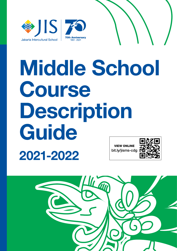



# Middle School Course Description **Guide** 2021-2022 VIEW ONLINE bit.ly/jisms-cdg

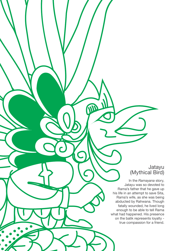# Jatayu (Mythical Bird)

In the Ramayana story, Jatayu was so devoted to Rama's father that he gave up his life in an attempt to save Sita, Rama's wife, as she was being abducted by Rahwana. Though fatally wounded, he lived long enough to be able to tell Rama what had happened. His presence on the batik represents loyalty true compassion for a friend.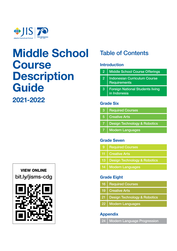

# Middle School **Course Description Guide** 2021-2022

# VIEW ONLINE bit.ly/jisms-cdg



# Table of Contents

# Introduction

| $\mathbf{2}$   | <b>Middle School Course Offerings</b>                      |
|----------------|------------------------------------------------------------|
| $\overline{2}$ | <b>Indonesian Curriculum Course</b><br><b>Requirements</b> |
| 3              | <b>Foreign National Students living</b><br>in Indonesia    |
|                |                                                            |

# Grade Six

|       | 3   Required Courses             |
|-------|----------------------------------|
| $5 -$ | <b>Creative Arts</b>             |
|       | 7   Design Technology & Robotics |
|       | 7   Modern Languages             |
|       |                                  |

# Grade Seven

| 9 <b>Required Courses</b>         |  |
|-----------------------------------|--|
| 11   Creative Arts                |  |
| 13   Design Technology & Robotics |  |
| 14   Modern Languages             |  |

# Grade Eight

| 16   Required Courses |  |
|-----------------------|--|
|                       |  |

- Creative Arts 19
- Design Technology & Robotics 21
- Modern Languages 22

# Appendix

24 | Modern Language Progression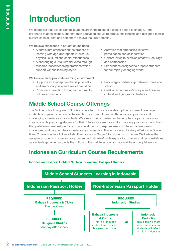# Introduction

We recognize that Middle School students are in the midst of a unique period of change, from childhood to adolescence, and that their education should be broad, challenging, and designed to help nurture each student and help them achieve their full potential.

We believe excellence in education includes:

- A curriculum emphasizing the process of learning with age-appropriate intellectual, physical, cultural and social experiences,
- A challenging curriculum delivered through research-based teaching practices which support various learning styles.

We believe an appropriate learning environment:

- Supports an atmosphere that is physically and emotionally safe and free of prejudice
- Promotes interaction throughout our multicultural community
- and compassion • Experiences designed to prepare students

• Activities that emphasize initiative, participation and collaboration

for our rapidly changing world

• Encourages partnership between home and school

• Opportunities to exercise creativity, courage

• Celebrates Indonesia's unique and diverse cultural and geographic features

# Middle School Course Offerings

The Middle School Program of Studies is detailed in this course description document. We hope students and parents recognize the depth of our commitment in offering age appropriate and challenging experiences for students. We aim to offer experiences that emphasize participation and creativity while preparing students for their futures. Our elective and exploratory programs throughout the grade levels are designed to encourage students to explore areas of interest, attempt new challenges, and broaden their experience and expertise. The focus on exploratory offerings in Grade 6 and 7 gives way to a full set of elective courses in Grade 8 for students to choose. We believe that assigning students to exploratory experiences in Grade 6 while expanding choices and responsibilities as students get older supports the culture of the middle school and our middle school philosophy.

# Indonesian Curriculum Course Requirements



Indonesian Passport Holders Vs. Non Indonesian Passport Holders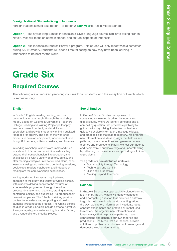## Foreign National Students living in Indonesia

Foreign Nationals must take option 1 or option 2 each year (6,7,8) in Middle School.

**Option 1)** Take a year-long Bahasa Indonesian & Civics language course (similar to taking French) Note: Civics will focus on some historical and cultural aspects of Indonesia

**Option 2)** Take Indonesian Studies Portfolio program. This course will only meet twice a semester during SSR/Advisory. Students will spend time reflecting on how they have been learning in Indonesian to be best for the world.

# Grade Six

# Required Courses

The following are all required year-long courses for all students with the exception of Health which is semester long.

## English

In Grade 6 English, reading, writing, and oral communication are taught through the workshop model. Based on Columbia University's Teachers College Reading and Writing Project philosophy, teachers present content, model skills and strategies, and provide students with individualized feedback for growth. The goal of the workshop model is to develop competent, independent, and thoughtful readers, writers, speakers, and listeners.

In reading workshop, students are immersed in an assortment of fiction and nonfiction texts as they expand their comprehension, interpretation, and analytical skills with a variety of before, during, and after reading strategies. Interactive read aloud, minilessons, small group instruction, conferring sessions, book clubs, readers notebooks, and independent reading are the core workshop experiences.

Writing workshop involves an inquiry-based approach to the study of a variety of writing genres, with students delving deep into the features of a genre while progressing through the writing process -brainstorming, planning, drafting, revising, conferring, editing, and publishing - to produce their own written pieces. The 6 Traits of Writing provide content for mini-lessons, supporting and guiding students throughout the process. The writing genres studied in Grade 6 English include personal narrative, literary analysis, persuasive writing, historical fiction, and a range of short, creative pieces.

## Social Studies

**School 6** Middle School 6<br>
Iarguage course (similar to taking French)<br>
Bis course will not y neet twice a semester<br>
Intercultural School School School Course Description Guide Course Description Guide 2021<br> **School Course** In Grade 6 Social Studies our approach to social studies learning is driven by inquiry into global issues, where we identify concepts and a compelling question that provides a pathway to guide the inquiry. Using illustrative content as a guide, we explore information, investigate ideas, and practice skills that lead to mastery. We organize new information and ideas in ways that help us see patterns, make connections and generate our own theories and predictions. Finally, we test our theories and demonstrate our knowledge and understanding by reflecting on the evidence and providing solutions to problems.

The grade six Social Studies units are:

- Sustainability through Technology
- Technology and Conflict
- Bias and Perspective
- Moving Beyond Tolerance

### **Science**

In Grade 6 Science our approach to science learning is driven by inquiry, where we identify concepts and a compelling question that provides a pathway to guide the inquiry in a laboratory setting. Along the way, we explore information, investigate ideas, conduct experiments and practice skills that lead to mastery. We organize new information and ideas in ways that help us see patterns, make connections and generate our own theories and predictions. Finally, we test our theories, provide solutions to problems, and show our knowledge and demonstrate our understanding.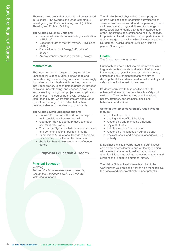There are three areas that students will be assessed in Science: (1) Knowledge and Understanding, (2) Investigating and Communicating, and (3) Critical Thinking and Problem Solving.

#### The Grade 6 Science Units are:

- How are all animals connected? (Classification in Biology)
- Does the "state of matter" matter? (Physics of Matter)
- Can we live without Energy? (Physics of Energy)
- Are we standing on solid ground? (Geology)

## **Mathematics**

There are three areas that students will be assessing in Scherce (1) Knowledge and Understanding, Eq. This<br>interplate and Communicating, and (3) Critical Technical School Course Description Guide 2021 - How are all antimat The Grade 6 learning targets are organized into units that will extend students' knowledge and understanding of elementary topics into increasingly formalized and applicable skills as they transition into upper grades. In each unit students will practice skills and understanding, and engage in problem and reasoning through unit projects and application experiences. The course begins with Weeks of Inspirational Math, where students are encouraged to explore how a growth mindset helps them develop a deeper understanding of concepts.

#### The Grade 6 Math unit questions are:

- Ratios & Proportions: How do ratios help us make decisions when we design?
- Geometry: How is geometry used to model and make decisions?
- The Number System: What makes organization and communication important in math?
- Expressions & Equations: How does keeping balance help us solve for the unknown?
- Statistics: How do we use data to influence others?

# Physical Education & Health

# Physical Education

#### Yearlong

This required course meets every other day throughout the school year in a 70-minute instructional period.

The Middle School physical education program offers a wide selection of athletic activities which serve to promote teamwork and cooperation, motor skill development, physical fitness, knowledge of rules, strategies of game play, and an appreciation of the importance of exercise for a healthy lifestyle. Emphasis is placed on active student participation in a broad range of activities, which include: Aquatics; Net games; Invasive games; Striking / Fielding games; Challenges.

## **Health**

This is a semester long course.

Our health course is a holistic program which aims to give students accurate and relevant information in the areas of physical, social, emotional, mental, spiritual and environmental health. We aim to develop the skills students need to make healthy and safe choices for the rest of their lives.

Students learn how to take positive action to enhance their own and others' health, safety and wellbeing. They do this as they examine values, beliefs, attitudes, opportunities, decisions, behaviours and actions.

#### Some of the topics covered in Grade 6 Health include:

- positive friendships
- dealing with conflict & bullying
- recognising and managing emotions
- physical fitness
- nutrition and our food choices
- recognising influences on our decisions
- physical, social and emotional changes during puberty

Mindfulness is also incorporated into our classes as it complements learning and wellbeing; helping with stress management, resilience, improving attention & focus, as well as increasing empathy and awareness of negative emotional states.

The Middle School Health team is excited to be working with your child this year to help them achieve their goals and discover their true inner potential.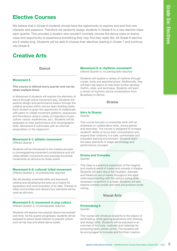# Elective Courses

We believe that in Grade 6 students should have the opportunity to explore and and find new interests and passions. Therefore we randomly assign students in Grade 6 to a new elective class each quarter. This provides a student who wouldn't normally choose the dance class or drama class and opportunity to experience something they may find they really like. All Grade 6 elective are 9 weeks long. Students will be able to choose their electives starting in Grade 7 and continue into Grade 8.

# Creative Arts

**Dance** 

# Movement 6

#### This course is offered every quarter and can be taken multiple times

In Movement 6 students will explore the elements of dance through active movement play. Students will explore design and performance basics through the creative process within various team building tasks. Each student is given the opportunity to collaborate with peers to create movement patterns, sequences, and formations using a variety of inspiration (music, culture, nature, experiences, etc.). Students will be assessed on their performance and choreographic skills. Movement 6 culminates with an informal presentation in the classroom.

# Movement 6-1: athletic movement

Offered Quarter 1

Students will be introduced to the creative process in choreographing movement combinations and will utilize athletic movements and everyday functional movements as stimulus for these works.

## Movement 6-2: cultural/ tribal movement

Offered Quarter 2, no prerequisite required

We will develop ensemble skills and teamwork, utilizing and developing the body as a means for expression and communication of an idea. Themes of tribal communities and nature's four elements will be used as stimulus.

### Movement 6-3: movement in pop culture

Offered Quarter 3, no prerequisite required

Students will explore how popular dance has evolved over time. As the quarter progresses, students will be exposed to dance styles relevant to popular culture such as hip-hop and street dance styles.

#### Movement 6-4: rhythmic movement

offered Quarter 4, no prerequisite required

Students will explore a variety of rhythms through vocals, body and assorted props. Additionally, they will learn tap basics to help them further develop rhythm, style, and technique. Students will learn a variety of rhythmic dance combinations from Broadway to Stomp.

### Drama

#### Intro to Drama **Quarter**

This course focuses on ensemble work with an emphasis on collaborative skills, drama games and exercises. The course is designed to increase students' ability to focus their concentration and expand their creativity in a safe, comfortable and enjoyable learning environment. Students learn the basic elements of stage terminology and performance concepts.

#### Drama and Comedia Quarter

Sportlanting to explore and and find new elective class and find new server the course of the new description of the course of the course of the course of the course of the course of the course of the course of the course This class is a practical exploration of the magical and mystical world of masks and comedy in theatre. Students will learn about the ritualistic, dramatic and theatrical use of masks throughout the ages while experimenting with the various acting skills necessary to perform in a mask. Students will also explore comedy scripts and skits and practice script writing.

# Visual Arts

# Printmaking 6

**Quarter** 

This course will introduce students to the basics of printmaking, while gaining experience with drawing and design skills. Students will be exposed to an overview of the tools, methods and materials for producing basic artistic prints. The students will be encouraged to innovate and find their creative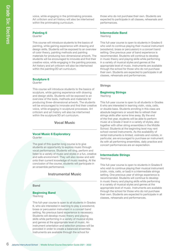voice, while engaging in the printmaking process. Art criticism and art history will also be intertwined within the printmaking curriculum.

### Painting 6

**Quarter** 

This course will introduce students to the basics of painting, while gaining experience with drawing and design skills. Students will be exposed to an overview of color theory, painting methods and painting materials for producing two-dimensional artwork. The students will be encouraged to innovate and find their creative voice, while engaging in the painting process. Art history and art criticism will also be intertwined within the painting/2D art curriculum.

# Sculpture 6

### **Quarter**

This course will introduce students to the basics of sculpture, while gaining experience with drawing and design skills. Students will be exposed to an overview of the tools, methods and materials for producing three-dimensional artwork. The students will be encouraged to innovate and find their creative voice, while engaging in sculptural processes. Art criticism and art history will also be intertwined within the sculpture/3D art curriculum.

Vocal Music

#### Vocal Music 6 Exploratory Quarter

The goal of this quarter-long course is to give students an opportunity to explore music through vocal performance. Students will sing, perform and listen to a variety of music and styles in a fun, creative and safe environment. They will also review and add onto their current knowledge of music reading. At the conclusion of the course, students will participate in an ensemble performance.

# Instrumental Music

#### Band

### Beginning Band

Yearlong

existe, while engaging in the printmaking process Art criticism and art history will also be intertwinded by the printmaking curriculum.<br> **Course for the printmaking curriculum**.<br> **Course for the course will introduce stu** This full-year course is open to all students in Grades 6, who are interested in learning to play a woodwind, brass or percussion instrument in a concert band setting. No previous band experience is necessary. Students will develop music theory and playing skills while performing in a variety of musical styles and genres at the appropriate level of music. An instrument orientation and selection process will be provided in order to create a balanced ensemble. Instruments are available through the school for

those who do not purchase their own. Students are expected to participate in all classes, rehearsals and performances.

## Intermediate Band

#### Yearlong

This full-year course is open to students in Grades 6 who wish to continue playing their musical instrument (woodwind, brass or percussion) in a concert band setting. One previous year of band experience is recommended. Students will continue to develop in music theory and playing skills while performing in a variety of musical styles and genres at the appropriate level of music. Instruments are available through the school for those who do not purchase their own. Students are expected to participate in all classes, rehearsals and performances.

## **Strings**

#### Beginning Strings Yearlong

This full-year course is open to all students in Grades 6 who are interested in learning violin, viola, cello, or double bass. Students enrolling in this class are absolute beginners or would like to refresh their strings skills after some time away. By the end of the first year, students will be able to perform music at a Grade 2 level in a variety of styles, also together with other string ensembles in the Middle School. Students at the beginning level may rent school-owned instruments. As the availability of rental instruments is limited, violinists and violists, in particular, are encouraged to purchase an instrument. As with all performing ensembles, daily practice and concert performances are an expectation.

# Intermediate Strings

Yearlong

This full-year course is open to students in Grades 6 who wish to continue playing their musical instrument (violin, viola, cello, or bad) in a intermediate strings setting. One previous year of strings experience is recommended. Students will continue to develop in music theory and playing skills while performing in a variety of musical styles and genres at the appropriate level of music. Instruments are available through the school for those who do not purchase their own. Students are expected to participate in all classes, rehearsals and performances.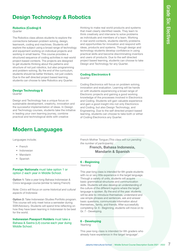# Design Technology & Robotics

# Robotics (Coding) 6

**Quarter** 

The Robotics class allows students to explore the connections between problem solving, design, teamwork, coding and machines. Students will explore the subject using a broad range of technology and equipment working on individual projects and working in small teams. This course provides a structured sequence of coding activities in real-world project-based contexts. The projects are designed to get students thinking about the patterns and structure of not just robotics, but also programming and problem-solving. By the end of the curriculum, students should be better thinkers, not just coders. Due to the self directed project based learning, students can choose to take Robotics any Quarter.

# Design Technology 6

**Quarter** 

Design and Technology has a unique focus on sustainable development, creativity, innovation and the successful implementation of ideas. In Design and Technology courses, students take the initiative in leading your own learning journey, combine practical and technological skills with creative

# Modern Languages

Languages include;

- French
- **Indonesian**
- **Mandarin**
- Spanish

## Foreign Nationals must take option 1 or option 2 each year in Middle School.

Option 1: Take a year-long Bahasa Indonesian & Civics language course (similar to taking French)

Note: Civics will focus on some historical and cultural aspects of Indonesia

Option 2: Take Indonesian Studies Portfolio program. This course will only meet twice a semester during SSR/Advisory. Students will spend time reflecting on how they have been learning in Indonesian to be best for the world.

# Indonesian Passport Holders must take a Bahasa & Sastra (Lit) course each year duing Middle School.

thinking to make real world products and systems that meet clearly identified needs. They learn to think creatively and intervene to solve problems as individuals and members of a team. Working in real world contexts, students identify problems and opportunities for innovation and respond with ideas, products and systems. Through design and technology students develop confidence in using practical skills and become discriminating inventors and users of products. Due to the self directed project based learning, students can choose to take Design and Technology for any Quarter.

# Coding Electronics 6

**Quarter** 

Coding Electronics will focus on problem solving, innovation and evaluation. Learning will be hands on with students experiencing a broad range of Electronic projects and gaining a good working knowledge of the processes involved in Electronics and Coding. Students will gain valuable experience and gain a good insight into not only Electronics and Coding, but also Design Technology, and Engineering. Due to the self directed project based learning, students can choose to take both or either of Coding Electronics any Quarter.

French Mother Tongue (This class will run pending the number of participants)

# French, Bahasa Indonesia, Mandarin & Spanish

# 6 - Beginning

Yearlong

This year-long class is intended for 6th grade students with no or very little experience in the target language. Through a variety of units, students will acquire basic grammatical structures and communication skills. Students will also develop an understanding of the culture of the different regions where the target language is spoken. By the end of the year, students will be able to: introduce themselves, understand and use simple phrases and sentences, ask and answer basic questions, communicate information about themselves,, family, and friends. After successfully completing Gr. 6 - Beginning, students will move on to Gr. 7 - Developing. Mother Tongue *(This class will run pending<br>thber of participants)*<br> **French, Bahasa Indonesia,**<br> **Mandarin & Spanish**<br> **Simming**<br>
The proposition of the state of the grade students<br>
or very little experience in the target

# 6 - Developing

Yearlong

This year-long class is intended for 6th graders who already have experience in the target language\*.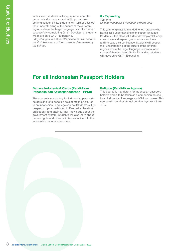In this level, students will acquire more complex grammatical structures and will improve their communication skills. Students will further develop their understanding of the culture of the different regions where the target language is spoken. After successfully completing Gr. 6 - Developing, students will move onto Gr. 7 - Expanding.

(\*Any changes to a student's placement will occur in the first few weeks of the course as determined by the school.

#### 6 - Expanding Yearlong

Bahasa Indonesia & Mandarin chinese only

This year-long class is intended for 6th graders who have a solid understanding of the target language. Students in this class will further develop oral fluency, consolidate and expand grammatical structures and increase their confidence. Students will deepen their understanding of the culture of the different regions where the target language is spoken. After successfully completing Gr. 6 - Expanding, students will move on to Gr. 7 - Expanding.

# For all Indonesian Passport Holders

## Bahasa Indonesia & Civics (Pendidikan Pancasila dan Kewarganegaraan - PPKn)

fin this level, students will acquire more complete<br>communication akilis. Students will improve their<br>there described intercultural Course of the curios and turbule<br>students of the Course of the Course of the Course of the This course is mandatory for Indonesian passportholders and is to be taken as a companion course to an Indonesian Language course. Students will go deeper in topics pertaining to Pancasila, the state philosophy, and attain further knowledge about the government system. Students will also learn about human rights and citizenship issues in line with the Indonesian national curriculum.

#### Religion (Pendidikan Agama)

This course is mandatory for Indonesian passportholders and is to be taken as a companion course to an Indonesian Language and Civics courses. This course will run after school on Mondays from 3:10- 4:10.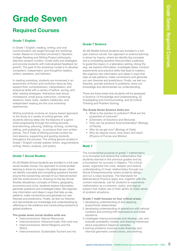# Grade Seven

# Required Courses

# Grade 7 English

In Grade 7 English, reading, writing, and oral communication are taught through the workshop model. Based on Columbia University's Teachers College Reading and Writing Project philosophy, teachers present content, model skills and strategies, and provide students with individualized feedback for growth. The goal of the workshop model is to develop competent, independent, and thoughtful readers, writers, speakers, and listeners.

In reading workshop, students are immersed in an assortment of fiction and nonfiction texts as they expand their comprehension, interpretation, and analytical skills with a variety of before, during, and after reading strategies. Interactive read aloud, minilessons, small group instruction, conferring sessions, book clubs, readers notebooks, and independent reading are the core workshop experiences.

Writing workshop involves an inquiry-based approach to the study of a variety of writing genres, with students delving deep into the features of a genre while progressing through the writing process brainstorming, planning, drafting, revising, conferring, editing, and publishing - to produce their own written pieces. The 6 Traits of Writing provide content for mini-lessons, supporting and guiding students throughout the process. The writing genres studied in Grade 7 English include realistic fiction, argumentative writing, literary analysis, and poetry.

# Grade 7 Social Studies

All JIS Middle School students are enrolled in a full-year social studies course. Our approach to social studies learning is driven by inquiry into global issues, where we identify concepts and compelling questions framed around the overarching concept of our interconnection with the world around us. Drawing on the key Social Studies disciplinary concepts of history, geography, economics and civics, students explore information, generate questions and investigate ideas. We organize new information and ideas in ways that help us see patterns, make connections and generate our own theories and predictions. Finally, we test our theories and demonstrate our knowledge and understanding by reflecting on the evidence and constructing solutions to global problems.

The grade seven social studies units are:

- Interconnections: Natural Resources.
- Interconnections: Historical trade, then and now.
- Interconnections: World Religions and the SDG's.
- Interconnections: Sustainable Tourism and me.

# Grade 7 Science

All JIS Middle School students are enrolled in a fullyear science course. Our approach to science learning is driven by inquiry, where we identify big concepts and a compelling question that provides a pathway to guide the inquiry in a laboratory setting. Along the way, we explore information, investigate ideas, conduct experiments and practice skills that lead to mastery. We organize new information and ideas in ways that help us see patterns, make connections and generate our own theories and predictions. Finally, we test our theories, provide solutions to problems, show our knowledge and demonstrate our understanding.

There are three areas that students will be assessed in Science: (1) Knowledge and Understanding, (2) Investigating and Communicating, and (3) Critical Thinking and Problem Solving.

#### The Grade Seven Science Units are:

- What is the solution to pollution? What are the properties of mixtures?
- (Chemistry of Solutions and Mixtures)
- How can we produce food sustainably? (Biology of Plants)
- Why do we get sick? (Biology of Cells)
- Why do objects move, slow down and stop? (Physics of Forces and Motion)

### Math 7

**Cale 7 Scheme**<br>Jakarta School students are enrolled in a full-<br>any sidence course. Our approach to scheme factoristic process<br>dia competibing quastion that provides a pathway series of the scheme scheme of<br>the course Desc The fundamental purpose of grade 7 mathematics is to formalize and extend the mathematics that students learned in the previous grades and lay a foundation for success in Algebra. The critical areas, organized into units, deepen and extend understanding of linear relationships through our Social Entrepreneurship where students design and run a class business. The Standards for Mathematical Practice apply and, together with the content standards, call for students to experience mathematics as a coherent, useful, and logical subject that makes use of their ability to make sense of problem situations. • How can we produce food sustainably? (Biology<br>• Of Plants)<br>• Why do we get sick? (Biology of Cells)<br>• Why do objects move, slow down and stop?<br>
(My do objects move, slow down and stop?<br>
(Physics of Forces and Motion)<br>
an

Grade 7 math focuses on four critical areas:

- 1. developing understanding of and applying proportional relationships
- 2.developing understanding of operations with rational numbers and working with expressions and linear equations
- 3.investigate chance processes and develop, use, and evaluate probability models; and drawing inferences about populations based on samples.
- 4.solving problems involving scale drawings and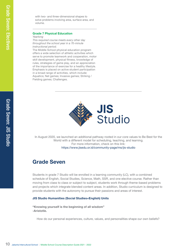Grade Seven: JIS Studio

with two- and three-dimensional shapes to solve problems involving area, surface area, and volume.

# Grade 7 Physical Education

Yearlong

This required course meets every other day throughout the school year in a 70-minute instructional period.

10 Jacques 2021 Martin Nove and three dimensional shapes to solve problems involving area, surface area, a subject to the more proto the more proposition of the more proposition of the more of the more of the proposition o The Middle School physical education program offers a wide selection of athletic activities which serve to promote teamwork and cooperation, motor skill development, physical fitness, knowledge of rules, strategies of game play, and an appreciation of the importance of exercise for a healthy lifestyle. Emphasis is placed on active student participation in a broad range of activities, which include: Aquatics; Net games; Invasive games; Striking / Fielding games; Challenges.



In August 2020, we launched an additional pathway rooted in our core values to Be Best for the World with a different model for scheduling, teaching, and learning. For more information, check on this link: https://www.jisedu.or.id/community-page/ms/jis-studio

# Grade Seven

Students in grade 7 Studio will be enrolled in a learning community (LC), with a combined schedule of English, Social Studies, Science, Math, SSR, and one elective course. Rather than moving from class to class or subject to subject, students work through theme-based problems and projects which integrate blended content areas. In addition, Studio curriculum is designed to provide students with the autonomy to pursue their passions and areas of interest.

# JIS Studio Humanities (Social Studies+English) Units

"Knowing yourself is the beginning of all wisdom" -Aristotle.

How do our personal experiences, culture, values, and personalities shape our own beliefs?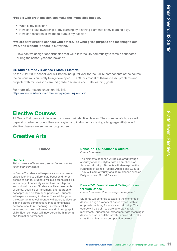# "People with great passion can make the impossible happen."

- What is my passion?
- How can I take ownership of my learning by planning elements of my learning day?
- How can research allow me to pursue my passion?

"We are hardwired to connect with others, it's what gives purpose and meaning to our lives, and without it, there is suffering."

How can we design "opportunities that will allow the JIS community to remain connected during the school year and beyond?

# JIS Studio Grade 7 (Science + Math + Elective)

As the 2021-2022 school year will be the inaugural year for the STEM components of the course the curriculum is currently being developed. The Studio model of theme-based problems and projects with mini-lessons around grade 7 science and math learning goals.

For more information, check on this link: https://www.jisedu.or.id/community-page/ms/jis-studio

# Elective Courses

All Grade 7 students will be able to choose their elective classes. Their number of choices will depend on whether or not they are playing and instrument or taking a language. All Grade 7 elective classes are semester long course.

# Creative Arts

**Dance** 

# Dance 7

This course is offered every semester and can be taken both semesters

In Dance 7 students will explore various movement styles, learning to differentiate between different genres of dance. Students will build technical skills in a variety of dance styles such as jazz, hip hop and cultural dances. Students will learn elements of dance, qualities of movement, choreographic concepts, and performance principles. Students will explore meaning in dance. They will be given the opportunity to collaborate with peers to develop & refine dance combinations that communicate personal or cultural meaning. Students will be assessed on their performance and choreographic skills. Each semester will incorporate both informal and formal performances.

#### Dance 7-1: Foundations & Culture Offered semester 1

The elements of dance will be explored through a variety of dance styles, with an emphasis on Jazz and Hip Hop. Students will also explore the Functions of Dance - Social, Artistic and Cultural. They will learn a variety of cultural dances such as Bollywood and Social Dances.

# Dance 7-2: Foundations & Telling Stories through Dance

Offered semester 2, no prerequisite required

**I**le happen."<br>
Ing elements of my learning day?<br>
<sup>2</sup>?<br>
1 gives purpose and meaning to our<br>
for the STEM components of the course<br>
for the STEM components of the course<br>
month learning goals.<br>
2<br>
2<br>
2<br>
2<br>
2<br>
2<br>
2<br>
2<br>
2<br>
2<br> Students will continue to explore the elements of dance through a variety of dance styles, with an emphasis on Jazz, Broadway and Hip Hop. This course will also aim to develop creativity with movement. Students will experiment with meaning in dance and work collaboratively in an effort to tell a story through a dance composition project.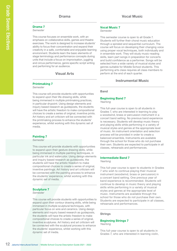# Drama 7

Semester

This course focuses on ensemble work, with an emphasis on collaborative skills, games and theatre exercises. The work is designed to increase students' ability to focus their concentration and expand their creativity in a safe, comfortable and enjoyable learning environment. Students learn the basic elements of stage terminology and performance concepts during units that include a focus on improvisation, juggling and circus performance, genre specific script writing and performing for an audience.

# Visual Arts

# Printmaking 7

Semester

This course will provide students with opportunities to expand upon their life-drawing skills, while being immersed in multiple printmaking practices, in particular drypoint. Using design elements and inquiry based research as guideposts, the students will have the artistic freedom to make compositional choices to create a series of original, inventive prints. Art history and art criticism will be connected with the printmaking process to enhance the students' experience, whilst working with this dynamic set of media.

# Painting 7

#### Semester

experience, whilst working with this dynamic set<br>
media.<br> **Painting 7**<br>
Semester<br>
This course will provide students with opportunite<br>
to expand upon their gesture drawing skills, whil<br>
being immersed in multiple painting t This course will provide students with opportunities to expand upon their gesture drawing skills, while being immersed in multiple painting techniques, in particular ink and watercolor. Using design elements and inquiry based research as guideposts, the students will have the artistic freedom to make compositional choices to create a series of original, inventive paintings. Art history and art criticism will be connected with the painting process to enhance the students' experience, whilst working with this dynamic set of media.

# Sculpture 7

Semester

This course will provide students with opportunities to expand upon their contour drawing skills, while being immersed in multiple sculptural techniques, with particular focus on wire and ceramics. Using design elements and inquiry based research as guideposts, the students will have the artistic freedom to make compositional choices to create a series of original, inventive sculptures. Art history and art criticism will be connected with the sculptural process to enhance the students' experience, whilst working with this dynamic set of media.

# Vocal Music 7

#### Semester

This semester course is open to all Grade 7. Students will further their choral music education through a spiraled and sequential curriculum. The course will focus on developing their changing voice using proper vocal techniques, both individually and in ensemble work. They will study music-reading skills, learn part songs in preparation for concerts and build confidence as a performer. Songs will be selected from a wide variety of musical styles and genres suitable for Middle School students. This performing arts class requires all class members to perform at the end of each quarter.

# Instrumental Music

## Band

# Beginning Band 7

Yearlong

This full-year course is open to all students in Grades 7, who are interested in learning to play a woodwind, brass or percussion instrument in a concert band setting. No previous band experience is necessary. Students will develop music theory and playing skills while performing in a variety of musical styles and genres at the appropriate level of music. An instrument orientation and selection process will be provided in order to create a balanced ensemble. Instruments are available through the school for those who do not purchase their own. Students are expected to participate in all classes, rehearsals and performances.

#### Intermediate Band 7 Yearlong

This full-year course is open to students in Grades 7 who wish to continue playing their musical instrument (woodwind, brass or percussion) in a concert band setting. One previous year of band experience is recommended. Students will continue to develop in music theory and playing skills while performing in a variety of musical styles and genres at the appropriate level of music. Instruments are available through the school for those who do not purchase their own. Students are expected to participate in all classes, rehearsals and performances.

### **Strings**

# Beginning Strings 7

Yearlong

This full-year course is open to all students in Grades 7, who are interested in learning violin,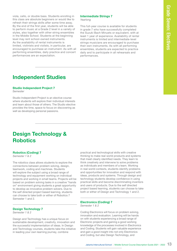viola, cello, or double bass. Students enrolling in this class are absolute beginners or would like to refresh their strings skills after some time away. By the end of the first year, students will be able to perform music at a Grade 2 level in a variety of styles, also together with other string ensembles in the Middle School. Students at the beginning level may rent school-owned instruments. As the availability of rental instruments is limited, violinists and violists, in particular, are encouraged to purchase an instrument. As with all performing ensembles, daily practice and concert performances are an expectation.

#### Intermediate Strings 7 Yearlong

This full-year course is available for students in grade 7 who have successfully completed the Suzuki Bach Minuets or equivalent, with at least 1 year of experience. Availability of rental instruments is limited and intermediate-level strings musicians are encouraged to purchase their own instruments. As with all performing ensembles, students are expected to practice daily and to participate in all rehearsals and performances.

# Independent Studies

## Studio Independent Project 7

Semester

Studio Independent Project is an elective course where students will explore their individual interests and learn about those of others. The Studio elective provides the time, space to focus on discovering as well as developing personal passions.

# Design Technology & **Robotics**

# Robotics (Coding) 7

Semester 1 & 2

The robotics class allows students to explore the connections between problem solving, design, teamwork, coding and machines. Students will explore the subject using a broad range of technology and equipment working on individual projects and working in small teams. Projects will be based on problem solving tasks in a creative "hands on" environment giving students a great opportunity to develop as innovative problem solvers. Due to the self directed project based learning, students can choose to take both or either of Robotics 7 Semester 1 and 2.

# Design Technology 7

Semester 1 & 2

Design and Technology has a unique focus on sustainable development, creativity, innovation and the successful implementation of ideas. In Design and Technology courses, students take the initiative in leading your own learning journey, combine

practical and technological skills with creative thinking to make real world products and systems that meet clearly identified needs. They learn to think creatively and intervene to solve problems as individuals and members of a team. Working in real world contexts, students identify problems and opportunities for innovation and respond with ideas, products and systems. Through design and technology students develop confidence in using practical skills and become discriminating inventors and users of products. Due to the self directed project based learning, students can choose to take both or either of Design and Technology 1 and 2.

#### Electronics (Coding) 7 Semester 1 & 2

Coding Electronics will focus on problem solving, innovation and evaluation. Learning will be hands on with students experiencing a broad range of Electronic projects and gaining a good working knowledge of the processes involved in Electronics and Coding. Students will gain valuable experience and gain a good insight into not only Electronics and Coding, but also Design Technology, and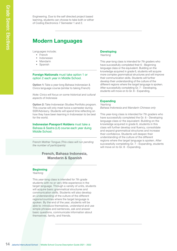Engineering. Due to the self directed project based learning, students can choose to take both or either of Coding Electronics 7 Semester 1 and 2.

# Modern Languages

Languages include;

- French
- Indonesian
- Mandarin
- Spanish

## Foreign Nationals must take option 1 or option 2 each year in Middle School.

Option 1: Take a year-long Bahasa Indonesian & Civics language course (similar to taking French)

Note: Civics will focus on some historical and cultural aspects of Indonesia

Option 2: Take Indonesian Studies Portfolio program. This course will only meet twice a semester during SSR/Advisory. Students will spend time reflecting on how they have been learning in Indonesian to be best for the world.

## Indonesian Passport Holders must take a Bahasa & Sastra (Lit) course each year duing Middle School.

French Mother Tongue (This class will run pending the number of participants)

# French, Bahasa Indonesia, Mandarin & Spanish

#### **Beginning**

Yearlong

Frequencing. Due to the self directed project base<br>of Coding Bectronica 7 Semester 1 and 2.<br>of Coding Bectronica 7 Semester 1 and 2.<br>
\* Frequencies Theoretics<br>
\* Marxistan<br>
\* Spanish<br>
Foreign Nationals must that option 1 o This year-long class is intended for 7th grade students with no or very little experience in the target language. Through a variety of units, students will acquire basic grammatical structures and communication skills. Students will also develop an understanding of the culture of the different regions/countries where the target language is spoken. By the end of the year, students will be able to: introduce themselves, understand and use simple phrases and sentences, ask and answer basic questions, communicate information about themselves, family, and friends.

#### Developing Yearlong

This year-long class is intended for 7th graders who have successfully completed their 6 - Beginning language class or the equivalent. Building on the knowledge acquired in grade 6, students will acquire more complex grammatical structures and will improve their communication skills. Students will further develop their understanding of the culture of the different regions where the target language is spoken. After successfully completing Gr. 7 - Developing, students will move on to Gr. 8 - Expanding.

#### Expanding Yearlong

Bahasa Indonesia and Mandarin Chinese only

This year-long class is intended for 7th graders who have successfully completed the Gr. 6 - Developing language class or the equivalent. Building on the knowledge acquired in grade 6, students in this class will further develop oral fluency, consolidate and expand grammatical structures and increase their confidence. Students will deepen their understanding of the culture of the different regions where the target language is spoken. After successfully completing Gr. 7 - Expanding, students will move on to Gr. 8 - Expanding.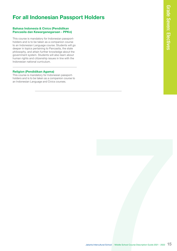# For all Indonesian Passport Holders

# Bahasa Indonesia & Civics (Pendidikan Pancasila dan Kewarganegaraan - PPKn)

This course is mandatory for Indonesian passportholders and is to be taken as a companion course to an Indonesian Language course. Students will go deeper in topics pertaining to Pancasila, the state philosophy, and attain further knowledge about the government system. Students will also learn about human rights and citizenship issues in line with the Indonesian national curriculum.

## Religion (Pendidikan Agama)

This course is mandatory for Indonesian passportholders and is to be taken as a companion course to an Indonesian Language and Civics courses.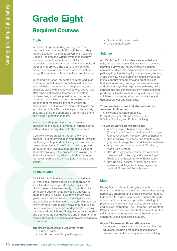# Grade Eight

# Required Courses

# English

In Grade 8 English, reading, writing, and oral communication are taught through the workshop model. Based on Columbia University's Teachers College Reading and Writing Project philosophy, teachers present content, model skills and strategies, and provide students with individualized feedback for growth. The goal of the workshop model is to develop competent, independent, and thoughtful readers, writers, speakers, and listeners.

In reading workshop, students are immersed in an assortment of fiction and nonfiction texts as they expand their comprehension, interpretation, and analytical skills with a variety of before, during, and after reading strategies. Interactive read aloud, mini-lessons, small group instruction, conferring sessions, book clubs, readers notebooks, and independent reading are the core workshop experiences. The Grade 8 reading units include an introduction to the life of a literary scholar, a study in author's craft, the character's journey and theme, and a study in nonfiction texts.

Writing workshop involves an inquiry-based approach to the study of a variety of writing genres, with students delving deep into the features of

a genre while progressing through the writing process - brainstorming, planning, drafting, revising, conferring, editing, and publishing - to produce their own written pieces. The 6 Traits of Writing provide content for mini-lessons, supporting and guiding students throughout the process. The writing genres studied in Grade 8 English include short fictional narratives, persuasive writing, literary analysis, and poetry.

# Social Studies

sessions, book clubs, readers notebooks, and<br>independent reading are the core workshop<br>independent reading are the core workshop<br>in current carding are the core workshop<br>in another is club at the of a literary solohic, as All JIS Middle School students are enrolled in a full-year social studies course. Our approach to social studies learning is driven by inquiry into global issues, where we identify concepts and a compelling question that provides a pathway to guide the inquiry. Using illustrative content as a guide, we explore information, investigate ideas, and practice skills that lead to mastery. We organize new information and ideas in ways that help us see patterns, make connections and generate our own theories and predictions. Finally, we test our theories and demonstrate our knowledge and understanding by reflecting on the evidence and providing solutions to problems.

The grade eight social studies units are:

- Human Rights
- Conflict: A Case Study of Refugees
- Sustainability in Indonesia
- Cities of the Future

# **Science**

All JIS Middle School students are enrolled in a full-year science course. Our approach to science learning is driven by inquiry, where we identify concepts and a compelling question that provides a pathway to guide the inquiry in a laboratory setting. Along the way, we explore information, investigate ideas, conduct experiments and practice skills that lead to mastery. We organize new information and ideas in ways that help us see patterns, make connections and generate our own questions and predictions. Finally, we test our questions, provide solutions to problems, show our knowledge and demonstrate our understanding.

#### There are three areas that students will be assessed in Science:

- 1. Knowledge and Understanding,
- 2.Investigating and Communicating, and
- 3.Critical Thinking and Problem Solving

## The Grade Eight Science Units are:

- What's going on beneath the surface? (Chemistry of Chemical vs. Physical Changes, Atomic Chemistry, Periodic Table of Elements)
- How is energy transferred and transformed? (Physics of Energy Transfer & Transformations)
- Why does outer space matter? (The Earth, Moon, Sun System)
- How do living organisms interact with each other and with their physical surroundings? (Ecology and Sustainability of Ecosystems)
- How do cells, tissues, organs, and organ systems work together to keep organisms healthy? (Biology of Body Systems)

# Math

During Math 8, students will grapple with rich tasks that ask them to model the world around them using numerical, graphical, and symbolic representations. Our goal is for students to develop fluency through a balanced instructional approach consisting of problem solving challenges, constructivist lessons, and explicit instruction. The Common Core Content Standards and Standards for Mathematical Practice call for students to experience mathematics as a coherent, useful, and logical subject.

### Grade 8 focuses on three critical areas:

1. formulating and reasoning about expressions and equations, including modeling associations in bivariate data with linear equations, and solving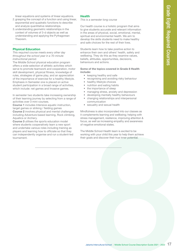linear equations and systems of linear equations.

- 2. grasping the concept of a function and using linear. exponential and quadratic functions to describe and analyze quantitative relationships.
- 3.understanding geometric relationships in the context of volumes of 3-d objects as well as understanding and applying the Pythagorean Theorem.

## Physical Education

This required course meets every other day throughout the school year in a 70-minute instructional period.

The Middle School physical education program offers a wide selection of athletic activities which serve to promote teamwork and cooperation, motor skill development, physical fitness, knowledge of rules, strategies of game play, and an appreciation of the importance of exercise for a healthy lifestyle. Emphasis in Semester one is placed on active student participation in a broad range of activities, which include: net games and Invasive games.

In semester two students take increasing ownership of their learning journey by selecting from a range of activities over 3 mini-courses.

Course 1 includes Intensive aquatic instruction, target games or striking / fielding games

Course 2 involves physical and mental challenges including Adventure based learning, Rock climbing, Aquatics or Archery.

Course 3 utilises the sports education model where students cooperatively learn a new sport and undertake various roles including training as players and learning how to officiate so that they can independently organise and run a student-led tournament.

#### Health

This is a semester long course

Our health course is a holistic program that aims to give students accurate and relevant information in the areas of physical, social, emotional, mental, spiritual and environmental health. We aim to develop the skills students need to make healthy and safe choices for the rest of their lives.

Students learn how to take positive action to enhance their own and others' health, safety and wellbeing. They do this as they examine values, beliefs, attitudes, opportunities, decisions, behaviours and actions.

#### Some of the topics covered in Grade 8 Health include:

- keeping healthy and safe
- recognising and avoiding risky behaviour
- healthy lifestyle choices
- nutrition and eating habits
- the importance of sleep
- managing stress, anxiety and depression
- developing mentally healthy behaviours
- changing relationships and interpersonal communication
- sexuality and sexual health

Mindfulness is also incorporated into our classes as it complements learning and wellbeing; helping with stress management, resilience, improving attention & focus, as well as increasing empathy and awareness of negative emotional states.

The Middle School Health team is excited to be working with your child this year to help them achieve their goals and discover their true inner potential. were anticleasing emparing and awareness<br>the School Health team is excited to be<br>the School Health team is excited to be<br>they our child this year to help them achieve<br>is and discover their true inner potential.<br>At a Interc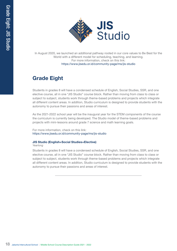

In August 2020, we launched an additional pathway rooted in our core values to Be Best for the World with a different model for scheduling, teaching, and learning. For more information, check on this link: https://www.jisedu.or.id/community-page/ms/jis-studio

# Grade Eight

Students in grades 8 will have a condensed schedule of English, Social Studies, SSR, and one elective course, all in one "JIS Studio" course block. Rather than moving from class to class or subject to subject, students work through theme-based problems and projects which integrate all different content areas. In addition, Studio curriculum is designed to provide students with the autonomy to pursue their passions and areas of interest.

As the 2021-2022 school year will be the inaugural year for the STEM components of the course the curriculum is currently being developed. The Studio model of theme-based problems and projects with mini-lessons around grade 7 science and math learning goals.

For more information, check on this link: https://www.jisedu.or.id/community-page/ms/jis-studio

# JIS Studio (English+Social Studies+Elective)

### Yearlong

18 **Civitation**<br>
18 August 2020, we launched an additional<br>
18 Tacket with a different model<br>
18 Haudents in grades 8 will have a condensed<br>
18 Studion Course information and the model Course Description Guide 2022<br>
2022 S Students in grades 8 will have a condensed schedule of English, Social Studies, SSR, and one elective course, all in one "JIS Studio" course block. Rather than moving from class to class or subject to subject, students work through theme-based problems and projects which integrate all different content areas. In addition, Studio curriculum is designed to provide students with the autonomy to pursue their passions and areas of interest.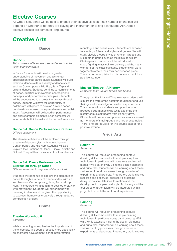# Elective Courses

All Grade 8 students will be able to choose their elective classes. Their number of choices will depend on whether or not they are playing and instrument or taking a language. All Grade 8 elective classes are semester long course.

# Creative Arts

**Dance** 

## Dance 8

This course is offered every semester and can be taken both semesters

In Dance 8 students will develop a greater understanding of movement and a stronger appreciation of all dance styles. Students will build technical dance skills in a variety of dance styles such as Contemporary, Hip Hop, Jazz, Tap and cultural dances. Students continue to learn elements of dance, qualities of movement, choreographic concepts, and performance principles. Students will be encouraged to express themselves through dance. Students will have the opportunity to collaborate with peers to develop & refine dance combinations focused on expressiveness and artistic intent. Assessment will be based on performance and choreographic elements. Each semester will incorporate both informal and formal performances.

# Dance 8-1: Dance Performance & Culture

Offered semester 1

The elements of dance will be explored through a variety of dance styles, with an emphasis on Contemporary and Hip Hop. Students will also explore the Functions of Dance - Social, Artistic and Cultural. They will learn a variety of cultural dances.

# Dance 8-2: Dance Performance & Expression through Dance

Offered semester 2, no prerequisite required

Students will continue to explore the elements of dance through a variety of dance styles, with an emphasis on Contemporary, Jazz, Tap and Hip Hop. This course will also aim to develop creativity with movement. Students will experiment with meaning in dance and be given the opportunity to express themselves creatively through a dance composition project.

# Drama

# Theatre Workshop 8

**Semester** 

While continuing to emphasize the importance of the ensemble, this course focuses more specifically on character development, script interpretation,

monologue and scene work. Students are exposed to a variety of theatrical styles and genres. We will study classic theatre styles of Ancient Greece and Elizabethan drama such as the plays of William Shakespeare. Students will be introduced to stage fighting, classical text delivery and the many wonders of the classical stage. Students will work together to create their own performance piece. There is no prerequisite for this course except for a positive attitude.

# Musical Theatre - A History

Semester-Team Taught Drama and Dance

Throughout this Musical Theatre class students will explore the work of the actor/singer/dancer and use their gained knowledge to develop as performers. This course allows students an opportunity to practice performance skills while exploring the history of musical theatre from its early days. Students will prepare and present as soloists as well as members of small groups and larger ensembles. There is no prerequisite for this course except for a positive attitude.

# Visual Arts

# **Sculpture**

Semester

This course will focus on broadening contour drawing skills combined with multiple sculptural techniques, in particular with ceramics and mixed media. While extensively using the design elements and principles, students will be learning about these various sculptural processes through a series of experiments and projects. Preparatory work involves research and observed, expressive sketching designed to stimulate idea formation and the development of a personal style. Art history and the four steps of art criticism will be integrated within projects to enrich the sculptural experience.

# **Painting**

Semester

This course will focus on broadening gesture drawing skills combined with multiple painting techniques, in particular spray paint on our graffiti wall. While extensively using the design elements and principles, students will be learning about these various painting processes through a series of experiments and projects. Preparatory work involves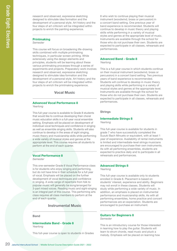research and observed, expressive sketching designed to stimulate idea formation and the development of a personal style. Art history and the four steps of art criticism will be integrated within projects to enrich the painting experience.

#### **Printmaking** Semester

research and observed, expressive sketching<br>designed to stimulate idea formation and the<br>development of a personal stile, Afv history and<br>provide to enviating one<br>persones.<br>This course will trouble the painting experience. This course will focus on broadening life-drawing skills combined with multiple printmaking techniques, in particular screen printing. While extensively using the design elements and principles, students will be learning about these various printmaking processes through a series of experiments and projects. Preparatory work involves research and observed, expressive sketching designed to stimulate idea formation and the development of a personal style. Art history and the four steps of art criticism will be integrated within projects to enrich the printmaking experience.

Vocal Music

#### Advanced Vocal Performance 8 Yearlong

This full-year course is available to Grade 8 students that would like to continue developing their choral music education skills in a full-year vocal ensemble setting. Emphasis will be placed on development of individual vocal techniques and confidence in singing as well as ensemble singing skills. Students will also continue to develop in the areas of sight singing, music theory and musicianship skills while performing a wide variety of musical styles and genres at the appropriate level. This course requires all students to perform at the end of each quarter.

# Vocal Performance 8

## Semester

This one-semester Grade 8 Vocal Performance class is for students who enjoy singing and performing, but do not have time in their schedule for a full year of vocal. Emphasis will be placed on the further development of vocal techniques and confidence in singing. A wide range of repertoire from folk to popular music will generally be sung/arranged for 3-part mixed voices. Reading music and sight-singing is an integral part of this course. This performing arts class requires all class members to perform at the end of each quarter.

# Instrumental Music

## **Band**

#### Intermediate Band - Grade 8 Yearlong

This full-year course is open to students in Grades

8 who wish to continue playing their musical instrument (woodwind, brass or percussion) in a concert band setting. One previous year of band experience is recommended. Students will continue to develop in music theory and playing skills while performing in a variety of musical styles and genres at the appropriate level of music. Instruments are available through the school for those who do not purchase their own. Students are expected to participate in all classes, rehearsals and performances.

#### Advanced Band - Grade 8 Yearlong

This is a full-year course in which students continue on their musical instrument (woodwind, brass or percussion) in a concert band setting. Two previous years of band experience is recommended. Students will continue to develop in music theory and playing skills while performing in a variety of musical styles and genres at the appropriate level. Instruments are available through the school for those who do not purchase their own. Students are expected to participate in all classes, rehearsals and performances.

## **Strings**

# Intermediate Strings 8

Yearlong

This full-year course is available for students in grade 7 who have successfully completed the Suzuki Bach Minuets or equivalent, with at least 1 year of experience. Availability of rental instruments is limited and intermediate-level strings musicians are encouraged to purchase their own instruments. As with all performing ensembles, students are expected to practice daily and to participate in all rehearsals and performances.

### Advanced Strings 8 Yearlong

This full-year course is available only to students enrolled in Grade 8. Placement is based on students' interest, experience and ability. Beginners may not enroll in these classes. Students will study while performing a wide variety of music. In addition, an emphasis is placed on instrumental performance and musicianship skills. As with all performing ensembles, home practice and concert performances are an expectation. Students are encouraged to purchase an instrument.

#### Guitars for Beginners 8 Semester

This is an introductory course for those interested in learning how to play the guitar. Students will learn to strum chords, read music and pluck a melody. Emphasis will be placed on learning how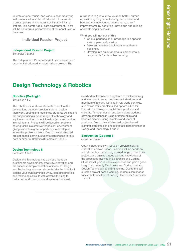to write original music, and various accompanying instruments will also be introduced. This class is a great opportunity to learn a skill that will last a lifetime, in a comfortable, safe environment. There will be an informal performance at the conclusion of the class.

# Individual Passion Project

## Independent Passion Project

Semester 1 and 2

The Independent Passion Project is a research and experiential-oriented, student-driven project. The

purpose is to get to know yourself better, pursue a passion, grow your autonomy, and understand how you can use your strengths to make selfimprovements by acquiring knowledge and refining or developing a new skill.

### What you will get out of this

- Gain experience and knowledge in a specific area of personal passion.
- Seek and use feedback from an authentic audience.
- Develop into an autonomous learner who is responsible for his or her learning.

# Design Technology & Robotics

## Robotics (Coding) 8

Semester 1 & 2

The robotics class allows students to explore the connections between problem solving, design, teamwork, coding and machines. Students will explore the subject using a broad range of technology and equipment working on individual projects and working in small teams. Projects will be based on problem solving tasks in a creative "hands on" environment giving students a great opportunity to develop as innovative problem solvers. Due to the self directed project based learning, students can choose to take both or either of Robotics 8 Semester 1 and 2.

# Design Technology 8

Semester 1 and 2

Design and Technology has a unique focus on sustainable development, creativity, innovation and the successful implementation of ideas. In Design and Technology courses, students take the initiative in leading your own learning journey, combine practical and technological skills with creative thinking to make real world products and systems that meet

School 8 to least to know yourself better, pursue<br>stain, grow your autonomy, and understand<br>over the by acquiring throw while<br>over the thy acquiring throw of the material of the state.<br>
The overtical course the course of t clearly identified needs. They learn to think creatively and intervene to solve problems as individuals and members of a team. Working in real world contexts, students identify problems and opportunities for innovation and respond with ideas, products and systems. Through design and technology students develop confidence in using practical skills and become discriminating inventors and users of products. Due to the self directed project based learning, students can choose to take both or either of Design and Technology 1 and 2.

# Electronics (Coding) 8

Semester 1 and 2

Coding Electronics will focus on problem solving, innovation and evaluation. Learning will be hands on with students experiencing a broad range of Electronic projects and gaining a good working knowledge of the processes involved in Electronics and Coding. Students will gain valuable experience and gain a good insight into not only Electronics and Coding, but also Design Technology, and Engineering. Due to the self directed project based learning, students can choose to take both or either of Coding Electronics 8 Semester 1 and 2.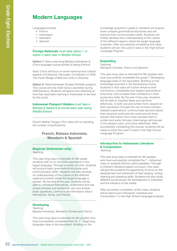# Modern Languages

Languages include;

- French
- Indonesian
- Mandarin
- Spanish

#### Foreign Nationals must take option 1 or option 2 each year in Middle School.

Option 1: Take a year-long Bahasa Indonesian & Civics language course (similar to taking French)

Note: Civics will focus on some historical and cultural aspects of Indonesia: Pancasila, Constitution of 1945, The Youth Pledge of1928 and Unity in Diversity.

Option 2: Take Indonesian Studies Portfolio program. This course will only meet twice a semester during SSR/Advisory. Students will spend time reflecting on how they have been learning in Indonesian to be best for the world.

## Indonesian Passport Holders must take a Bahasa & Sastra (Lit) course each year duing Middle School.

French Mother Tongue (This class will run pending the number of participants)

> French, Bahasa Indonesia, Mandarin & Spanish

### Beginner (Indonesian only) Yearlong

**Examples include:**<br>
Anguages include:<br>
• Findometian<br>
• Middle School 1 or<br>
• Middle School 2<br>
• Middle School 2<br>
• Spanish<br> **Exacts of Middle Course Description**<br> **Chica School Course Description Guide 2021**<br>
Also Chica This year-long class is intended for 8th grade students with no or very little experience in the target language. Through a variety of units, students will acquire basic grammatical structures and communication skills. Students will also develop an understanding of the culture of the different regions/countries where the target language is spoken. By the end of the year, students will be able to: introduce themselves, understand and use simple phrases and sentences, ask and answer basic questions, communicate information about themselves, family, and friends.

## Developing

Yearlong Bahasa Indonesia, Mandarin Chinese and French

This year-long class is intended for 8th graders who have successfully completed their Gr. 7 - Beginning language class or the equivalent. Building on the

knowledge acquired in grade 6, students will acquire more complex grammatical structures and will improve their communication skills. Students will further develop their understanding of the culture of the different regions where the target language is spoken. After successfully completing this class, students will join the Level 2 class in the High School Language Program.

# **Expanding**

Yearlong Mandarin Chinese, French and Spanish

This year-long class is intended for 8th graders who have successfully completed the grade 7 Developing language class or the equivalent. Building on the knowledge acquired in the Developing course, students in this class will further enhance their oral fluency, consolidate and expand grammatical structures, and increase their confidence in their productive skills. By the end of the year, students will be able to: express ideas and opinions effectively, in both oral and written form; expand on their expression through the use of more complex, detailed explanations; communicate opinions about their personal world and the world around them; extract information from more complex texts in written and audio formats; interchange verb tenses in the present, past, and future effectively. After successfully completing this course, students will be ready to enter the Level 3 class in the High School Language Program.

# Introduction to Indonesian Literature & Composition

Yearlong

This year-long class is intended for 8th graders who have successfully completed the 7 - Advanced class or students that are native speakers. Through a children's literature based curriculum, this class will give the students the opportunity to focus on the development and refinement of their reading, writing, listening and speaking skills. Students will also study different social issues, the development in Indonesia and the influence of the media.

After successful completion of this class, students will be able to join Indonesian Literature and Composition 1 in the High School Language program.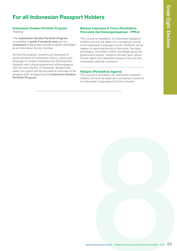# For all Indonesian Passport Holders

#### Indonesian Studies Portfolio Program Yearlong

\*The Indonesian Studies Portfolio Program is available to **grade 8 students only** and is a scheduled independent studies program facilitated by an Indonesian faculty member.

During this program, students are expected to study elements of Indonesian history, culture and language of modern Indonesia and showing their linguistic and cultural experiences while engaging with the host country of Indonesia. Student who select this option will be provided an overview of the program prior to beginning the Indonesian Studies Portfolio Program.

# Bahasa Indonesia & Civics (Pendidikan Pancasila dan Kewarganegaraan - PPKn)

**Jointers**<br> **Sass Indonesia & Civics (Pendidikan**<br>
course is mandatory for indonesia a papper-<br>
course in market to proper course Students will go<br>
por in the proper course Description Guide 2021<br>
and the model constant of This course is mandatory for Indonesian passportholders and is to be taken as a companion course to an Indonesian Language course. Students will go deeper in topics pertaining to Pancasila, the state philosophy, and attain further knowledge about the government system. Students will also learn about human rights and citizenship issues in line with the Indonesian national curriculum.

# Religion (Pendidikan Agama)

This course is mandatory for Indonesian passportholders and is to be taken as a companion course to an Indonesian Language and Civics courses.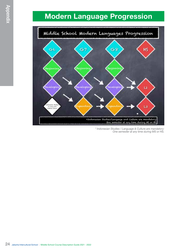# Modern Language Progression



\* Indonesian Studies / Language & Culture are mandatory: One semester at any time during MS or HS.